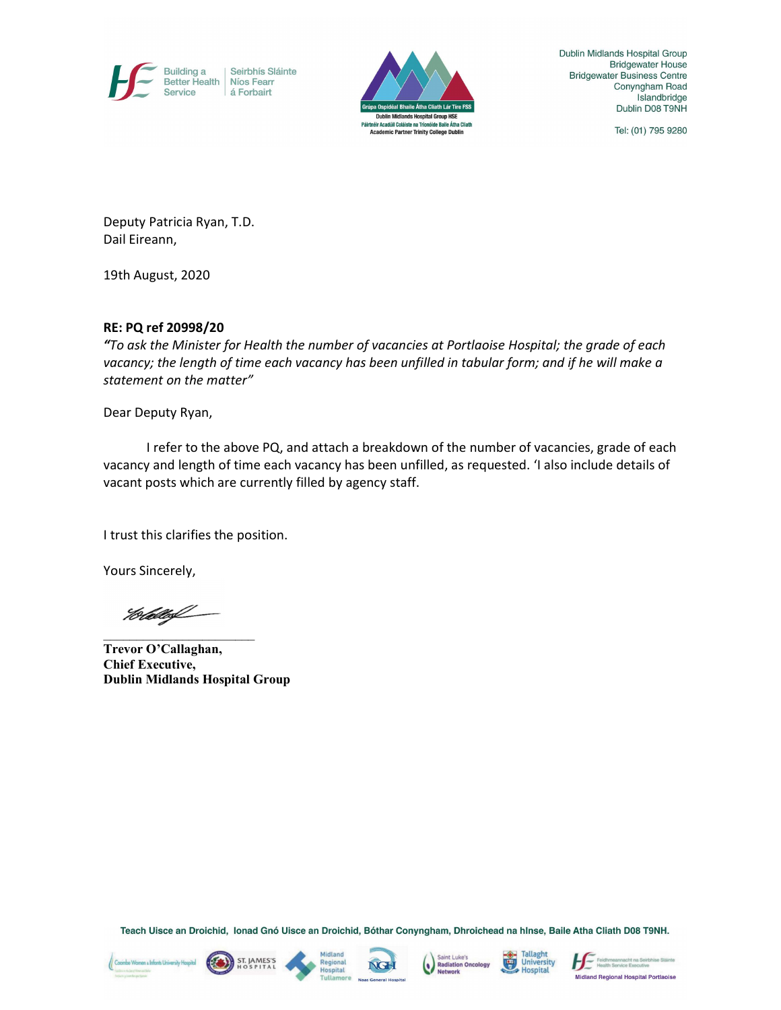



Dublin Midlands Hospital Group **Bridgewater House Bridgewater Business Centre** Conyngham Road Islandbridge Dublin D08 T9NH

Tel: (01) 795 9280

Deputy Patricia Ryan, T.D. Dail Eireann,

19th August, 2020

## RE: PQ ref 20998/20

"To ask the Minister for Health the number of vacancies at Portlaoise Hospital; the grade of each vacancy; the length of time each vacancy has been unfilled in tabular form; and if he will make a statement on the matter"

Dear Deputy Ryan,

I refer to the above PQ, and attach a breakdown of the number of vacancies, grade of each vacancy and length of time each vacancy has been unfilled, as requested. 'I also include details of vacant posts which are currently filled by agency staff.

I trust this clarifies the position.

Yours Sincerely,

Hello

 $\mathcal{L}_\text{max}$  and  $\mathcal{L}_\text{max}$  and  $\mathcal{L}_\text{max}$ 

Trevor O'Callaghan, Chief Executive, Dublin Midlands Hospital Group

Teach Uisce an Droichid, Ionad Gnó Uisce an Droichid, Bóthar Conyngham, Dhroichead na hInse, Baile Atha Cliath D08 T9NH.











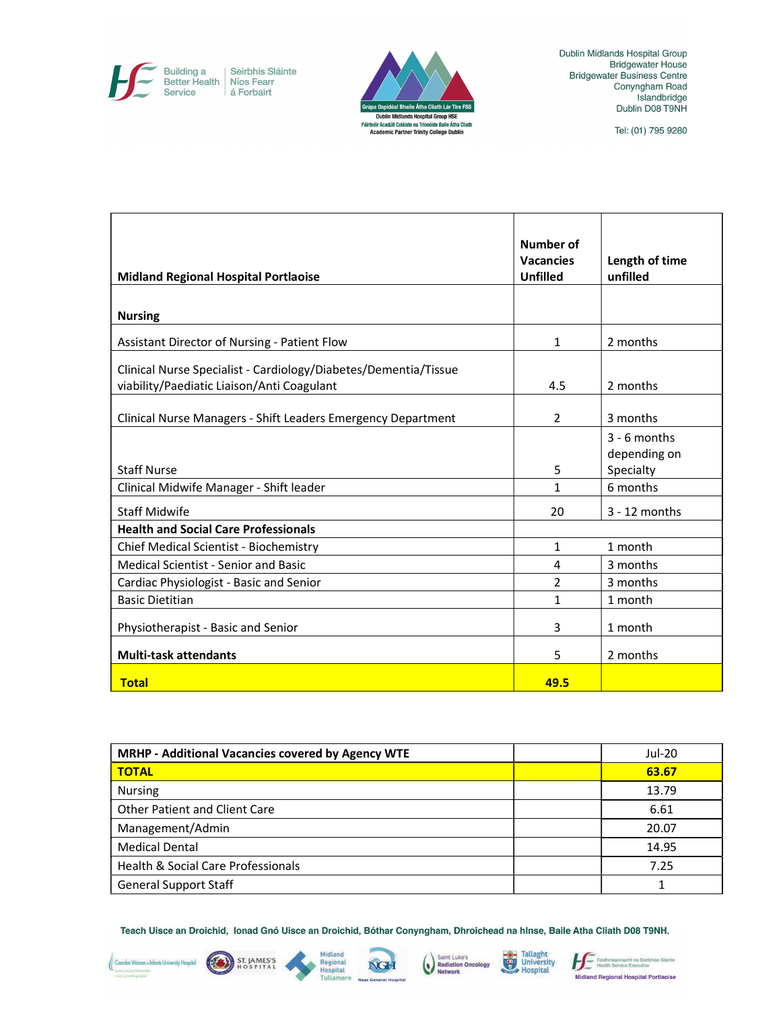Building a<br>Better Health<br>Service Seirbhís Sláinte<br>Níos Fearr<br>á Forbairt



Dublin Midlands Hospital Group Bridgewater House<br>Bridgewater Business Centre<br>Conyngham Road Islandbridge<br>Dublin D08 T9NH

Tel: (01) 795 9280

| <b>Midland Regional Hospital Portlaoise</b>                     | <b>Number of</b><br><b>Vacancies</b><br><b>Unfilled</b> | Length of time<br>unfilled |
|-----------------------------------------------------------------|---------------------------------------------------------|----------------------------|
|                                                                 |                                                         |                            |
| <b>Nursing</b>                                                  |                                                         |                            |
| Assistant Director of Nursing - Patient Flow                    | 1                                                       | 2 months                   |
| Clinical Nurse Specialist - Cardiology/Diabetes/Dementia/Tissue |                                                         |                            |
| viability/Paediatic Liaison/Anti Coagulant                      | 4.5                                                     | 2 months                   |
|                                                                 |                                                         |                            |
| Clinical Nurse Managers - Shift Leaders Emergency Department    | $\overline{2}$                                          | 3 months                   |
|                                                                 |                                                         | $3 - 6$ months             |
|                                                                 |                                                         | depending on               |
| <b>Staff Nurse</b>                                              | 5                                                       | Specialty                  |
| Clinical Midwife Manager - Shift leader                         | 1                                                       | 6 months                   |
| <b>Staff Midwife</b>                                            | 20                                                      | $3 - 12$ months            |
| <b>Health and Social Care Professionals</b>                     |                                                         |                            |
| Chief Medical Scientist - Biochemistry                          | $\mathbf{1}$                                            | 1 month                    |
| <b>Medical Scientist - Senior and Basic</b>                     | 4                                                       | 3 months                   |
| Cardiac Physiologist - Basic and Senior                         | $\overline{2}$                                          | 3 months                   |
| <b>Basic Dietitian</b>                                          | $\mathbf{1}$                                            | 1 month                    |
| Physiotherapist - Basic and Senior                              | 3                                                       | 1 month                    |
| <b>Multi-task attendants</b>                                    | 5                                                       | 2 months                   |
| <b>Total</b>                                                    | 49.5                                                    |                            |

| MRHP - Additional Vacancies covered by Agency WTE | Jul-20 |
|---------------------------------------------------|--------|
| <b>TOTAL</b>                                      | 63.67  |
| <b>Nursing</b>                                    | 13.79  |
| Other Patient and Client Care                     | 6.61   |
| Management/Admin                                  | 20.07  |
| <b>Medical Dental</b>                             | 14.95  |
| Health & Social Care Professionals                | 7.25   |
| <b>General Support Staff</b>                      |        |

Saint Luke's<br>Radiation Oncology<br>Network

Tallaght<br>University<br>Hospital

Feidhmeannacht na Seirbhíse Sláinte

Midland Regional Hospital Portlaoise

Teach Uisce an Droichid, Ionad Gnó Uisce an Droichid, Bóthar Conyngham, Dhroichead na hInse, Baile Atha Cliath D08 T9NH.

NGH

Midland

Regional<br>Hospital

ST. JAMES'S